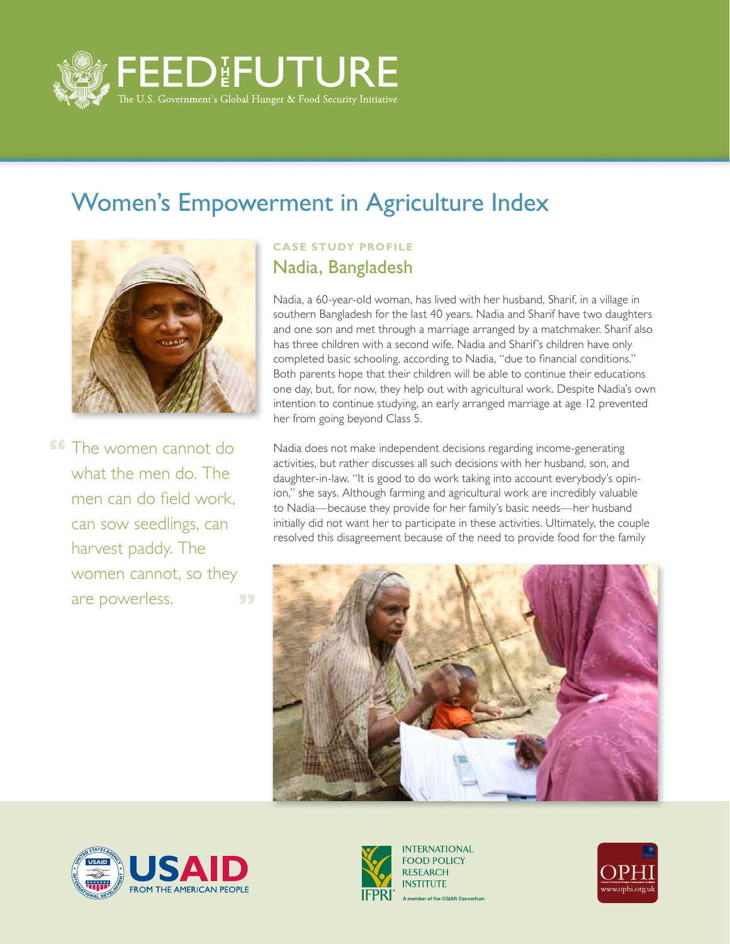

## Women's Empowerment in Agriculture Index



**FF** The women cannot do what the men do. The men can do field work, can sow seedlings, can harvest paddy. The women cannot, so they are powerless. 55

## **CASE STUDY PROFILE** Nadia, Bangladesh

Nadia, a 60-year-old woman, has lived with her husband, Sharif, in a village in southern Bangladesh for the last 40 years. Nadia and Sharif have two daughters and one son and met through a marriage arranged by a matchmaker. Sharif also has three children with a second wife. Nadia and Sharif's children have only completed basic schooling, according to Nadia, "due to financial conditions." Both parents hope that their children will be able to continue their educations one day, but, for now, they help out with agricultural work. Despite Nadia's own intention to continue studying, an early arranged marriage at age 12 prevented her from going beyond Class 5.

Nadia does not make independent decisions regarding income-generating activities, but rather discusses all such decisions with her husband, son, and daughter-in-law. "It is good to do work taking into account everybody's opinion," she says. Although farming and agricultural work are incredibly valuable to Nadia—because they provide for her family's basic needs—her husband initially did not want her to participate in these activities. Ultimately, the couple resolved this disagreement because of the need to provide food for the family







**INTERNATIONAL FOOD POLICY RESEARCH INSTITUTE** A member of the CGIAR Consortium